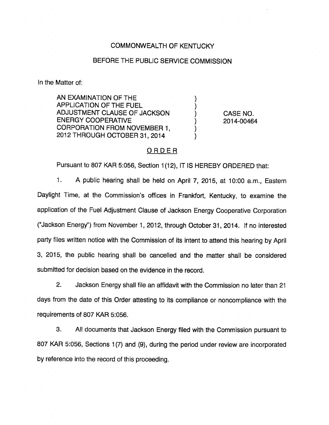## COMMONWEALTH OF KENTUCKY

#### BEFORE THE PUBLIC SERVICE COMMISSION

In the Matter of:

AN EXAMINATION OF THE APPLICATION OF THE FUEL ADJUSTMENT CLAUSE OF JACKSON ) CASE NO. ENERGY COOPERATIVE **(2014-00464**) CORPORATION FROM NOVEMBER 1, 2012 THROUGH OCTOBER 31, 2014

## ORDER

Pursuant to 807 KAR 5:056, Section 1(12), IT IS HEREBY ORDERED that:

1. A public hearing shall be held on April 7, 2015, at 10:00 a.m.. Eastern Daylight Time, at the Commission's offices in Frankfort, Kentucky, to examine the application of the Fuel Adjustment Clause of Jackson Energy Cooperative Corporation ("Jackson Energy") from November 1, 2012, through October 31, 2014. If no interested party files written notice with the Commission of its intent to attend this hearing by April 3, 2015, the public hearing shall be cancelled and the matter shall be considered submitted for decision based on the evidence in the record.

2. Jackson Energy shall file an affidavit with the Commission no later than 21 days from the date of this Order attesting to its compliance or noncompliance with the requirements of 807 KAR 5:056.

3. All documents that Jackson Energy filed with the Commission pursuant to 807 KAR 5:056, Sections 1(7) and (9), during the period under review are incorporated by reference into the record of this proceeding.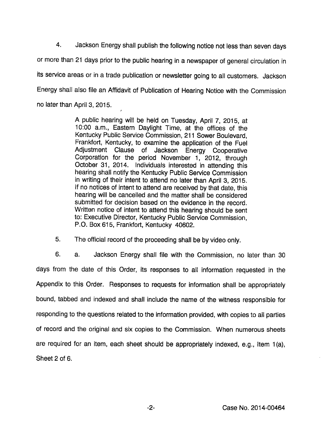4. Jackson Energy shall publish the following notice not lessthan seven days or more than 21 days prior to the public hearing in a newspaper of general circulation in its service areas or in a trade publication or newsletter going to all customers. Jackson Energy shall also file an Affidavit of Publication of Hearing Notice with the Commission no later than April 3, 2015.

> A public hearing will be held on Tuesday, April 7, 2015, at 10:00 a.m., Eastem Daylight Time, at the offices of the Kentucky Public Service Commission, 211 Sower Boulevard, Frankfort, Kentucky, to examine the application of the Fuel Adjustment Clause of Jackson Energy Cooperative Corporation for the period November 1, 2012, through October 31, 2014. Individuals interested in attending this hearing shall notify the Kentucky Public Service Commission in writing of their intent to attend no later than April 3, 2015. If no notices of intent to attend are received by that date, this hearing will be cancelled and the matter shall be considered submitted for decision based on the evidence in the record. Written notice of intent to attend this hearing should be sent to: Executive Director, Kentucky Public Service Commission, P.O. Box 615, Frankfort, Kentucky 40602.

5. The official record of the proceeding shall be by video only.

6. a. Jackson Energy shall file with the Commission, no later than 30 days from the date of this Order, its responses to all information requested in the Appendix to this Order. Responses to requests for information shall be appropriately bound, tabbed and indexed and shall include the name of the witness responsible for responding to the questions related to the information provided, with copies to all parties of record and the original and six copies to the Commission. When numerous sheets are required for an item, each sheet should be appropriately indexed, e.g.. Item 1(a), Sheet 2 of 6.

 $-2-$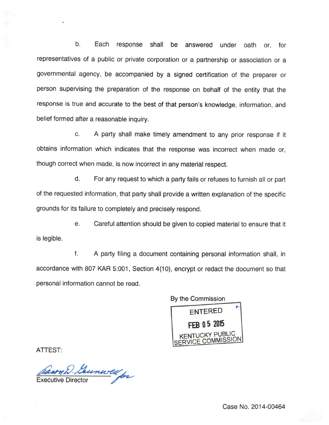b. Each response shall be answered under oath or, for representatives of a public or private corporation or a partnership or association or a governmental agency, be accompanied by a signed certification of the preparer or person supervising the preparation of the response on behalf of the entity that the response is true and accurate to the best of that person's knowledge, information, and belief formed after a reasonable inquiry.

c. A party shall make timely amendment to any prior response if it obtains information which indicates that the response was incorrect when made or, though correct when made, is now incorrect in any material respect.

d. For any request to which a party fails or refuses to furnish all or part of the requested information, that party shall provide a written explanation of the specific grounds for its failure to completely and precisely respond.

e. Careful attention should be given to copied material to ensure that it is legible.

f. A party filing a document containing personal information shall, in accordance with 807 KAR 5:001, Section 4(10), encrypt or redact the document so that personal information cannot be read.

By the Commission entered FEB 05 <sup>2015</sup> KENTUCKY PUBLIC<br>SERVICE COMMISSION

ATTEST:

Executive Director

Case No. 2014-00464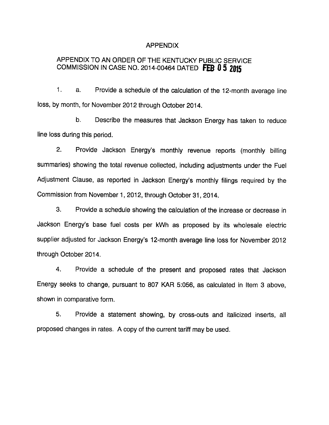#### APPENDIX

# APPENDIX TO AN ORDER OF THE KENTUCKY PUBLIC SERVICE COMMISSION IN CASE NO. 2014-00464 DATED FEB 0 5 2015

1. a. Provide a schedule of the calculation of the 12-month average line loss, by month, for November 2012 through October 2014.

b. Describe the measures that Jackson Energy has taken to reduce line loss during this period.

2. Provide Jackson Energy's monthly revenue reports (monthly billing summaries) showing the total revenue collected, including adjustments under the Fuel Adjustment Clause, as reported in Jackson Energy's monthly filings required by the Commission from November 1, 2012, through October 31, 2014.

3. Provide a schedule showing the calculation of the increase or decrease in Jackson Energy's base fuel costs per kWh as proposed by its wholesale electric supplier adjusted for Jackson Energy's 12-month average line loss for November 2012 through October 2014.

4. Provide a schedule of the present and proposed rates that Jackson Energy seeks to change, pursuant to 807 KAR 5:056, as calculated in Item 3 above, shown in comparative form.

5. Provide a statement showing, by cross-outs and italicized inserts, all proposed changes in rates. A copy of the current tariff may be used.